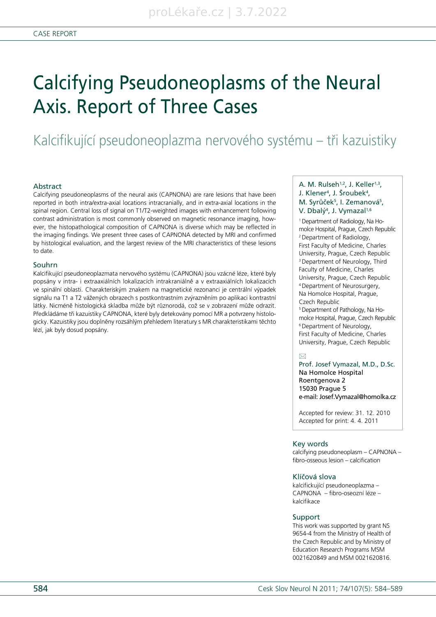# Kalcifikující pseudoneoplazma nervového systému – tři kazuistiky

#### Abstract

Calcifying pseudoneoplasms of the neural axis (CAPNONA) are rare lesions that have been reported in both intra/extra-axial locations intracranially, and in extra-axial locations in the spinal region. Central loss of signal on T1/T2-weighted images with enhancement following contrast administration is most commonly observed on magnetic resonance imaging, however, the histopathological composition of CAPNONA is diverse which may be reflected in the imaging findings. We present three cases of CAPNONA detected by MRI and confirmed by histological evaluation, and the largest review of the MRI characteristics of these lesions to date.

#### Souhrn

Kalcifikující pseudoneoplazmata nervového systému (CAPNONA) jsou vzácné léze, které byly popsány v intra- i extraaxiálních lokalizacích intrakraniálně a v extraaxiálních lokalizacích ve spinální oblasti. Charakteriským znakem na magnetické rezonanci je centrální výpadek signálu na T1 a T2 vážených obrazech s postkontrastním zvýrazněním po aplikaci kontrastní látky. Nicméně histologická skladba může být různorodá, což se v zobrazení může odrazit. Předkládáme tři kazuistiky CAPNONA, které byly detekovány pomocí MR a potvrzeny histologicky. Kazuistiky jsou doplněny rozsáhlým přehledem literatury s MR charakteristikami těchto lézí, jak byly dosud popsány.

## A. M. Rulseh<sup>1,2</sup>, J. Keller<sup>1,3</sup>, J. Klener<sup>4</sup>, J. Šroubek<sup>4</sup>, M. Syrůček<sup>5</sup>, I. Zemanová<sup>5</sup>, V. Dbalý<sup>4</sup>, J. Vymazal<sup>1,6</sup>

1 Department of Radiology, Na Homolce Hospital, Prague, Czech Republic 2 Department of Radiology, First Faculty of Medicine, Charles University, Prague, Czech Republic <sup>3</sup> Department of Neurology, Third Faculty of Medicine, Charles University, Prague, Czech Republic 4 Department of Neurosurgery, Na Homolce Hospital, Prague, Czech Republic 5 Department of Pathology, Na Homolce Hospital, Prague, Czech Republic 6 Department of Neurology,

First Faculty of Medicine, Charles University, Prague, Czech Republic

#### $\boxtimes$

Prof. Josef Vymazal, M.D., D.Sc. Na Homolce Hospital Roentgenova 2 15030 Prague 5 e-mail: Josef.Vymazal@homolka.cz

Accepted for review: 31. 12. 2010 Accepted for print: 4. 4. 2011

#### Key words

calcifying pseudoneoplasm – CAPNONA – fibro-osseous lesion – calcification

#### Klíčová slova

kalcifickující pseudoneoplazma – CAPNONA – fibro-oseozní léze – kalcifikace

#### Support

This work was supported by grant NS 9654-4 from the Ministry of Health of the Czech Republic and by Ministry of Education Research Programs MSM 0021620849 and MSM 0021620816.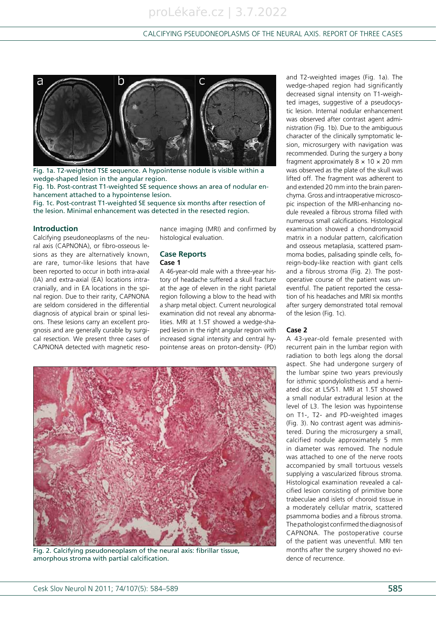

Fig. 1a. T2-weighted TSE sequence. A hypointense nodule is visible within a wedge-shaped lesion in the angular region.

Fig. 1b. Post-contrast T1-weighted SE sequence shows an area of nodular enhancement attached to a hypointense lesion.

Fig. 1c. Post-contrast T1-weighted SE sequence six months after resection of the lesion. Minimal enhancement was detected in the resected region.

#### **Introduction**

Calcifying pseudoneoplasms of the neural axis (CAPNONA), or fibro-osseous lesions as they are alternatively known, are rare, tumor-like lesions that have been reported to occur in both intra-axial (IA) and extra-axial (EA) locations intracranially, and in EA locations in the spinal region. Due to their rarity, CAPNONA are seldom considered in the differential diagnosis of atypical brain or spinal lesions. These lesions carry an excellent prognosis and are generally curable by surgical resection. We present three cases of CAPNONA detected with magnetic reso-

nance imaging (MRI) and confirmed by histological evaluation.

# **Case Reports**

## **Case 1**

A 46-year-old male with a three-year history of headache suffered a skull fracture at the age of eleven in the right parietal region following a blow to the head with a sharp metal object. Current neurological examination did not reveal any abnormalities. MRI at 1.5T showed a wedge-shaped lesion in the right angular region with increased signal intensity and central hypointense areas on proton-density- (PD)



Fig. 2. Calcifying pseudoneoplasm of the neural axis: fibrillar tissue, amorphous stroma with partial calcification.

and T2-weighted images (Fig. 1a). The wedge-shaped region had significantly decreased signal intensity on T1-weighted images, suggestive of a pseudocystic lesion. Internal nodular enhancement was observed after contrast agent administration (Fig. 1b). Due to the ambiguous character of the clinically symptomatic lesion, microsurgery with navigation was recommended. During the surgery a bony fragment approximately  $8 \times 10 \times 20$  mm was observed as the plate of the skull was lifted off. The fragment was adherent to and extended 20 mm into the brain parenchyma. Gross and intraoperative microscopic inspection of the MRI-enhancing nodule revealed a fibrous stroma filled with numerous small calcifications. Histological examination showed a chondromyxoid matrix in a nodular pattern, calcification and osseous metaplasia, scattered psammoma bodies, palisading spindle cells, foreign-body-like reaction with giant cells and a fibrous stroma (Fig. 2). The postoperative course of the patient was uneventful. The patient reported the cessation of his headaches and MRI six months after surgery demonstrated total removal of the lesion (Fig. 1c).

#### **Case 2**

A 43-year-old female presented with recurrent pain in the lumbar region with radiation to both legs along the dorsal aspect. She had undergone surgery of the lumbar spine two years previously for isthmic spondylolisthesis and a herniated disc at L5/S1. MRI at 1.5T showed a small nodular extradural lesion at the level of L3. The lesion was hypointense on T1-, T2- and PD-weighted images (Fig. 3). No contrast agent was administered. During the microsurgery a small, calcified nodule approximately 5 mm in diameter was removed. The nodule was attached to one of the nerve roots accompanied by small tortuous vessels supplying a vascularized fibrous stroma. Histological examination revealed a calcified lesion consisting of primitive bone trabeculae and islets of choroid tissue in a moderately cellular matrix, scattered psammoma bodies and a fibrous stroma. The pathologist confirmed the diagnosis of CAPNONA. The postoperative course of the patient was uneventful. MRI ten months after the surgery showed no evidence of recurrence.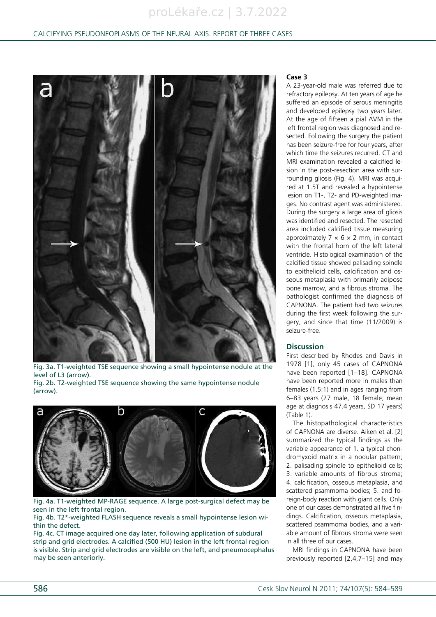# proLékaře.cz | 3.7.2022

# Calcifying Pseudoneoplasms of the Neural Axis. Report of Three Cases



Fig. 3a. T1-weighted TSE sequence showing a small hypointense nodule at the level of L3 (arrow). Fig. 2b. T2-weighted TSE sequence showing the same hypointense nodule (arrow).



Fig. 4a. T1-weighted MP-RAGE sequence. A large post-surgical defect may be seen in the left frontal region.

Fig. 4b. T2\*-weighted FLASH sequence reveals a small hypointense lesion within the defect.

Fig. 4c. CT image acquired one day later, following application of subdural strip and grid electrodes. A calcified (500 HU) lesion in the left frontal region is visible. Strip and grid electrodes are visible on the left, and pneumocephalus may be seen anteriorly.

#### **Case 3**

A 23-year-old male was referred due to refractory epilepsy. At ten years of age he suffered an episode of serous meningitis and developed epilepsy two years later. At the age of fifteen a pial AVM in the left frontal region was diagnosed and resected. Following the surgery the patient has been seizure-free for four years, after which time the seizures recurred. CT and MRI examination revealed a calcified lesion in the post-resection area with surrounding gliosis (Fig. 4). MRI was acquired at 1.5T and revealed a hypointense lesion on T1-, T2- and PD-weighted images. No contrast agent was administered. During the surgery a large area of gliosis was identified and resected. The resected area included calcified tissue measuring approximately  $7 \times 6 \times 2$  mm, in contact with the frontal horn of the left lateral ventricle. Histological examination of the calcified tissue showed palisading spindle to epithelioid cells, calcification and osseous metaplasia with primarily adipose bone marrow, and a fibrous stroma. The pathologist confirmed the diagnosis of CAPNONA. The patient had two seizures during the first week following the surgery, and since that time (11/2009) is seizure-free.

#### **Discussion**

First described by Rhodes and Davis in 1978 [1], only 45 cases of CAPNONA have been reported [1–18]. CAPNONA have been reported more in males than females (1.5:1) and in ages ranging from 6–83 years (27 male, 18 female; mean age at diagnosis 47.4 years, SD 17 years) (Table 1).

The histopathological characteristics of CAPNONA are diverse. Aiken et al. [2] summarized the typical findings as the variable appearance of 1. a typical chondromyxoid matrix in a nodular pattern; 2. palisading spindle to epithelioid cells; 3. variable amounts of fibrous stroma; 4. calcification, osseous metaplasia, and scattered psammoma bodies; 5. and foreign-body reaction with giant cells. Only one of our cases demonstrated all five findings. Calcification, osseous metaplasia, scattered psammoma bodies, and a variable amount of fibrous stroma were seen in all three of our cases.

MRI findings in CAPNONA have been previously reported [2,4,7–15] and may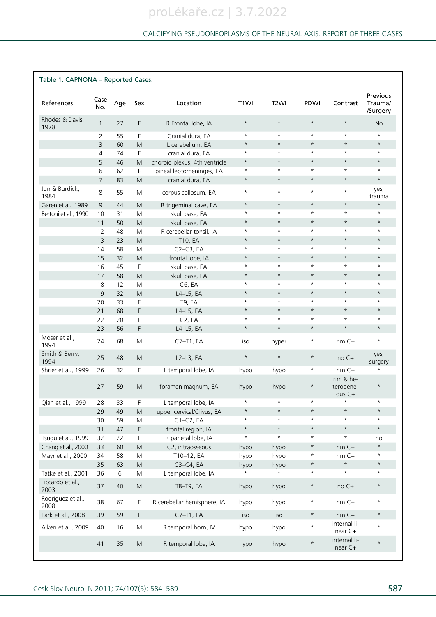| Table 1. CAPNONA - Reported Cases. |                |     |                                                                                                            |                               |                   |                   |             |                                |                                 |  |
|------------------------------------|----------------|-----|------------------------------------------------------------------------------------------------------------|-------------------------------|-------------------|-------------------|-------------|--------------------------------|---------------------------------|--|
| References                         | Case<br>No.    | Age | Sex                                                                                                        | Location                      | T <sub>1</sub> WI | T <sub>2</sub> WI | <b>PDWI</b> | Contrast                       | Previous<br>Trauma/<br>/Surgery |  |
| Rhodes & Davis,<br>1978            | $\mathbf{1}$   | 27  | F                                                                                                          | R Frontal lobe, IA            | $\star$           | $\star$           | $\star$     | $\star$                        | <b>No</b>                       |  |
|                                    | 2              | 55  | F                                                                                                          | Cranial dura, EA              | $\star$           | $\star$           | $\star$     | $\star$                        | $^{\star}$                      |  |
|                                    | 3              | 60  | M                                                                                                          | L cerebellum, EA              | $\star$           | $\star$           | $\star$     | $\star$                        | $\star$                         |  |
|                                    | 4              | 74  | F.                                                                                                         | cranial dura, EA              | $\star$           | $\star$           | $^\star$    | $\star$                        | $^\star$                        |  |
|                                    | 5              | 46  | M                                                                                                          | choroid plexus, 4th ventricle | $\star$           | $\star$           | $\star$     | $\star$                        | $\star$                         |  |
|                                    | 6              | 62  | F                                                                                                          | pineal leptomeninges, EA      | $\star$           | $\star$           | $\star$     | $\star$                        | $\star$                         |  |
|                                    | $\overline{7}$ | 83  | M                                                                                                          | cranial dura, EA              | $\star$           | $\star$           | $\star$     | $\star$                        | $\star$                         |  |
| Jun & Burdick,<br>1984             | 8              | 55  | M                                                                                                          | corpus collosum, EA           | $\star$           | $\star$           | $\star$     | $\star$                        | yes,<br>trauma                  |  |
| Garen et al., 1989                 | 9              | 44  | M                                                                                                          | R trigeminal cave, EA         | $\star$           | $\star$           | $\star$     | $\star$                        | $\star$                         |  |
| Bertoni et al., 1990               | 10             | 31  | M                                                                                                          | skull base, EA                | $\star$           | $\star$           | $\star$     | $\star$                        | $\star$                         |  |
|                                    | 11             | 50  | M                                                                                                          | skull base, EA                | $\star$           | $\star$           | $\star$     | $\star$                        | $\star$                         |  |
|                                    | 12             | 48  | M                                                                                                          | R cerebellar tonsil, IA       | $\star$           | $\star$           | $\star$     | $\star$                        | $\star$                         |  |
|                                    | 13             | 23  | M                                                                                                          | T10, EA                       | $\star$           | $\star$           | $\star$     | $\star$                        | $\star$                         |  |
|                                    | 14             | 58  | M                                                                                                          | $C2-C3, EA$                   | $\star$           | $\star$           | $\star$     | $\star$                        | $\star$                         |  |
|                                    | 15             | 32  | M                                                                                                          | frontal lobe, IA              | $\star$           | $\star$           | $\star$     | $\star$                        | $\star$                         |  |
|                                    | 16             | 45  | F                                                                                                          | skull base, EA                | $\star$           | $\star$           | $\star$     | $\star$                        | $\star$                         |  |
|                                    | 17             | 58  | M                                                                                                          | skull base, EA                | $\star$           | $\star$           | $\star$     | $\star$                        | $\star$                         |  |
|                                    | 18             | 12  | M                                                                                                          | C6, EA                        | $\star$           | $\star$           | $\star$     | $\star$                        | $\star$                         |  |
|                                    | 19             | 32  | M                                                                                                          | $L4-L5$ , EA                  | $\star$           | $\star$           | $\star$     | $\star$                        | $\star$                         |  |
|                                    | 20             | 33  | F                                                                                                          | T9, EA                        | $\star$           | $\star$           | $\star$     | $\star$                        | $\star$                         |  |
|                                    | 21             | 68  | F                                                                                                          | L4-L5, EA                     | $\star$           | $\star$           | $\star$     | $\star$                        | $\star$                         |  |
|                                    | 22             | 20  | F                                                                                                          | C <sub>2</sub> , EA           | $\star$           | $\star$           | $\star$     | $\star$                        | $\star$                         |  |
|                                    | 23             | 56  | F                                                                                                          | L4-L5, EA                     | $\star$           | $\star$           | $\star$     | $\star$                        | $\star$                         |  |
| Moser et al.,<br>1994              | 24             | 68  | M                                                                                                          | $C7-T1, EA$                   | iso               | hyper             | $^\star$    | $rim C+$                       | $^\star$                        |  |
| Smith & Berry,<br>1994             | 25             | 48  | M                                                                                                          | $L2-L3$ , EA                  | $\star$           | $\star$           | $\star$     | $noC+$                         | yes,<br>surgery                 |  |
| Shrier et al., 1999                | 26             | 32  | F                                                                                                          | L temporal lobe, IA           | hypo              | hypo              | $^\star$    | $rim C+$<br>rim & he-          | $^\star$                        |  |
|                                    | 27             | 59  | M                                                                                                          | foramen magnum, EA            | hypo              | hypo              | $^\star$    | terogene-<br>ous <sub>ct</sub> | $\star$                         |  |
| Qian et al., 1999                  | 28             | 33  | F                                                                                                          | L temporal lobe, IA           | $\star$           | $\star$           | $\star$     | $\star$                        | $\star$                         |  |
|                                    | 29             | 49  | $\mathsf{M}% _{T}=\mathsf{M}_{T}\!\left( a,b\right) ,\ \mathsf{M}_{T}=\mathsf{M}_{T}\!\left( a,b\right) ,$ | upper cervical/Clivus, EA     | $\star$           | $\star$           | $\star$     | $\star$                        | $\star$                         |  |
|                                    | 30             | 59  | M                                                                                                          | $C1-C2, EA$                   | $\star$           | $\star$           | $\star$     | $\star$                        | $\star$                         |  |
|                                    | 31             | 47  | F                                                                                                          | frontal region, IA            | $\star$           | $\star$           | $\star$     | $\star$                        | $\star$                         |  |
| Tsugu et al., 1999                 | 32             | 22  | F                                                                                                          | R parietal lobe, IA           | $\star$           | $\star$           | $\star$     | $\star$                        | no                              |  |
| Chang et al., 2000                 | 33             | 60  | M                                                                                                          | C2, intraosseous              | hypo              | hypo              | $\star$     | $rim C+$                       | $\star$                         |  |
| Mayr et al., 2000                  | 34             | 58  | M                                                                                                          | T10-12, EA                    | hypo              | hypo              | $\star$     | $rim C+$                       | $\star$                         |  |
|                                    | 35             | 63  | M                                                                                                          | $C3-C4, EA$                   | hypo              | hypo              | $\star$     | $\star$                        | $\star$                         |  |
| Tatke et al., 2001                 | 36             | 6   | M                                                                                                          | L temporal lobe, IA           |                   |                   | $\star$     | $\star$                        | $\star$                         |  |
| Liccardo et al.,<br>2003           | 37             | 40  | ${\sf M}$                                                                                                  | T8-T9, EA                     | hypo              | hypo              | $\star$     | no C+                          | $\star$                         |  |
| Rodriguez et al.,<br>2008          | 38             | 67  | F                                                                                                          | R cerebellar hemisphere, IA   | hypo              | hypo              | $\star$     | $rim C+$                       | $\star$                         |  |
| Park et al., 2008                  | 39             | 59  | F                                                                                                          | C7-T1, EA                     | iso               | iso               | $\star$     | $rim C+$                       | $\star$                         |  |
| Aiken et al., 2009                 | 40             | 16  | M                                                                                                          | R temporal horn, IV           | hypo              | hypo              | $\star$     | internal li-<br>near C+        | $\star$                         |  |
|                                    | 41             | 35  | ${\sf M}$                                                                                                  | R temporal lobe, IA           | hypo              | hypo              | $\star$     | internal li-<br>near C+        | $\star$                         |  |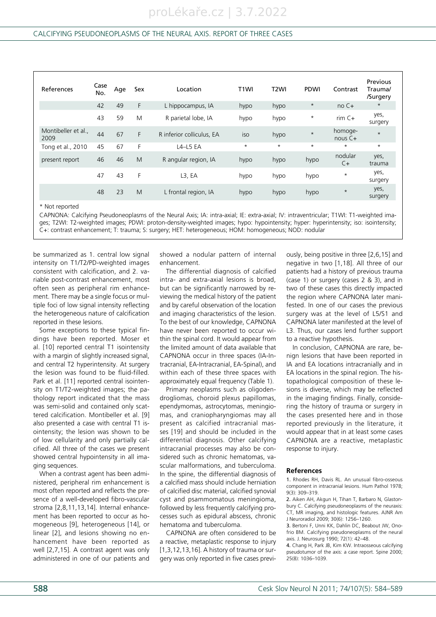| References                | Case<br>No. | Age | Sex | Location                  | T <sub>1</sub> WI | T <sub>2</sub> WI | <b>PDWI</b> | Contrast             | Previous<br>Trauma/<br>/Surgery |
|---------------------------|-------------|-----|-----|---------------------------|-------------------|-------------------|-------------|----------------------|---------------------------------|
|                           | 42          | 49  | F   | L hippocampus, IA         | hypo              | hypo              | $\star$     | $noC+$               | $\star$                         |
|                           | 43          | 59  | M   | R parietal lobe, IA       | hypo              | hypo              | $^\star$    | $rim C+$             | yes,<br>surgery                 |
| Montibeller et al<br>2009 | 44          | 67  | F   | R inferior colliculus, EA | iso               | hypo              | $\star$     | homoge-<br>nous $C+$ | $\star$                         |
| Tong et al., 2010         | 45          | 67  | F   | $L4-L5EA$                 | $\star$           | $\star$           | $\star$     | $\star$              | $\star$                         |
| present report            | 46          | 46  | M   | R angular region, IA      | hypo              | hypo              | hypo        | nodular<br>$C+$      | yes,<br>trauma                  |
|                           | 47          | 43  | F   | $L3$ , EA                 | hypo              | hypo              | hypo        | $\star$              | yes,<br>surgery                 |
|                           | 48          | 23  | M   | L frontal region, IA      | hypo              | hypo              | hypo        | $\star$              | yes,<br>surgery                 |

\* Not reported

CAPNONA: Calcifying Pseudoneoplasms of the Neural Axis; IA: intra-axial; IE: extra-axial; IV: intraventricular; T1WI: T1-weighted images; T2WI: T2-weighted images; PDWI: proton-density-weighted images; hypo: hypointensity; hyper: hyperintensity; iso: isointensity; C+: contrast enhancement; T: trauma; S: surgery; HET: heterogeneous; HOM: homogeneous; NOD: nodular

be summarized as 1. central low signal intensity on T1/T2/PD-weighted images consistent with calcification, and 2. variable post-contrast enhancement, most often seen as peripheral rim enhancement. There may be a single focus or multiple foci of low signal intensity reflecting the heterogeneous nature of calcification reported in these lesions.

Some exceptions to these typical findings have been reported. Moser et al. [10] reported central T1 isointensity with a margin of slightly increased signal, and central T2 hyperintensity. At surgery the lesion was found to be fluid-filled. Park et al. [11] reported central isointensity on T1/T2-weighted images; the pathology report indicated that the mass was semi-solid and contained only scattered calcification. Montibeller et al. [9] also presented a case with central T1 isointensity; the lesion was shown to be of low cellularity and only partially calcified. All three of the cases we present showed central hypointensity in all imaging sequences.

When a contrast agent has been administered, peripheral rim enhancement is most often reported and reflects the presence of a well-developed fibro-vascular stroma [2,8,11,13,14]. Internal enhancement has been reported to occur as homogeneous [9], heterogeneous [14], or linear [2], and lesions showing no enhancement have been reported as well [2,7,15]. A contrast agent was only administered in one of our patients and

showed a nodular pattern of internal enhancement.

The differential diagnosis of calcified intra- and extra-axial lesions is broad, but can be significantly narrowed by reviewing the medical history of the patient and by careful observation of the location and imaging characteristics of the lesion. To the best of our knowledge, CAPNONA have never been reported to occur within the spinal cord. It would appear from the limited amount of data available that CAPNONA occur in three spaces (IA-Intracranial, EA-Intracranial, EA-Spinal), and within each of these three spaces with approximately equal frequency (Table 1).

Primary neoplasms such as oligodendrogliomas, choroid plexus papillomas, ependymomas, astrocytomas, meningiomas, and craniopharyngiomas may all present as calcified intracranial masses [19] and should be included in the differential diagnosis. Other calcifying intracranial processes may also be considered such as chronic hematomas, vascular malformations, and tuberculoma. In the spine, the differential diagnosis of a calcified mass should include herniation of calcified disc material, calcified synovial cyst and psammomatous meningioma, followed by less frequently calcifying processes such as epidural abscess, chronic hematoma and tuberculoma.

CAPNONA are often considered to be a reactive, metaplastic response to injury [1,3,12,13,16]. A history of trauma or surgery was only reported in five cases previously, being positive in three [2,6,15] and negative in two [1,18]. All three of our patients had a history of previous trauma (case 1) or surgery (cases 2 & 3), and in two of these cases this directly impacted the region where CAPNONA later manifested. In one of our cases the previous surgery was at the level of L5/S1 and CAPNONA later manifested at the level of L3. Thus, our cases lend further support to a reactive hypothesis.

In conclusion, CAPNONA are rare, benign lesions that have been reported in IA and EA locations intracranially and in EA locations in the spinal region. The histopathological composition of these lesions is diverse, which may be reflected in the imaging findings. Finally, considering the history of trauma or surgery in the cases presented here and in those reported previously in the literature, it would appear that in at least some cases CAPNONA are a reactive, metaplastic response to injury.

#### **References**

1. Rhodes RH, Davis RL. An unusual fibro-osseous component in intracranial lesions. Hum Pathol 1978; 9(3): 309–319.

2. Aiken AH, Akgun H, Tihan T, Barbaro N, Glastonbury C. Calcifying pseudoneoplasms of the neuraxis: CT, MR imaging, and histologic features. AJNR Am J Neuroradiol 2009; 30(6): 1256–1260.

3. Bertoni F, Unni KK, Dahlin DC, Beabout JW, Onofrio BM. Calcifying pseudoneoplasms of the neural axis. J. Neurosurg 1990; 72(1): 42–48.

4. Chang H, Park JB, Kim KW. Intraosseous calcifying pseudotumor of the axis: a case report. Spine 2000; 25(8): 1036–1039.